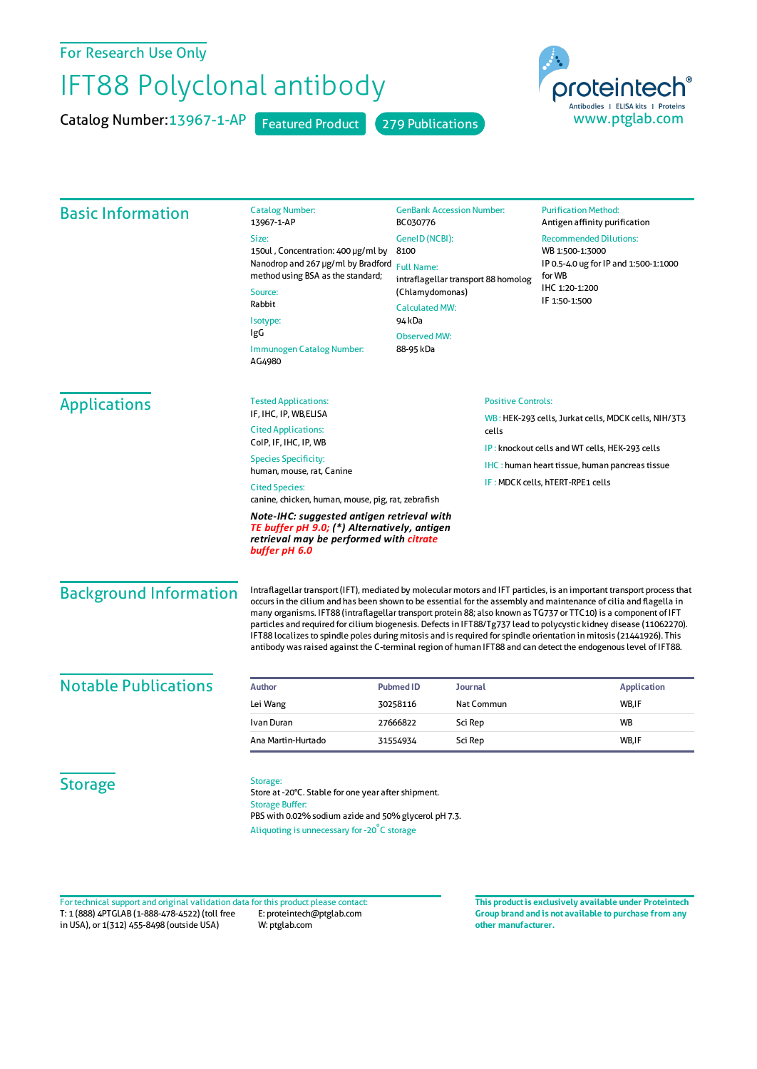For Research Use Only

## IFT88 Polyclonal antibody

Catalog Number: 13967-1-AP Featured Product 279 Publications



| <b>Basic Information</b>                                                                                                                               | <b>Catalog Number:</b><br>13967-1-AP                                                                                                                                                                                                                                                                                                                                                                                                                                                                                                                                                                                                                                                                                          | <b>GenBank Accession Number:</b><br>BC030776<br>GeneID (NCBI):<br>8100<br><b>Full Name:</b><br>intraflagellar transport 88 homolog |                                                       | <b>Purification Method:</b><br>Antigen affinity purification                                        |                 |
|--------------------------------------------------------------------------------------------------------------------------------------------------------|-------------------------------------------------------------------------------------------------------------------------------------------------------------------------------------------------------------------------------------------------------------------------------------------------------------------------------------------------------------------------------------------------------------------------------------------------------------------------------------------------------------------------------------------------------------------------------------------------------------------------------------------------------------------------------------------------------------------------------|------------------------------------------------------------------------------------------------------------------------------------|-------------------------------------------------------|-----------------------------------------------------------------------------------------------------|-----------------|
|                                                                                                                                                        | Size:                                                                                                                                                                                                                                                                                                                                                                                                                                                                                                                                                                                                                                                                                                                         |                                                                                                                                    |                                                       | <b>Recommended Dilutions:</b><br>WB 1:500-1:3000<br>IP 0.5-4.0 ug for IP and 1:500-1:1000<br>for WB |                 |
|                                                                                                                                                        | 150ul, Concentration: 400 µg/ml by<br>Nanodrop and 267 µg/ml by Bradford<br>method using BSA as the standard;<br>Source:<br>Rabbit<br>Isotype:<br>IgG<br>Immunogen Catalog Number:<br>AG4980                                                                                                                                                                                                                                                                                                                                                                                                                                                                                                                                  |                                                                                                                                    |                                                       |                                                                                                     |                 |
|                                                                                                                                                        |                                                                                                                                                                                                                                                                                                                                                                                                                                                                                                                                                                                                                                                                                                                               |                                                                                                                                    |                                                       |                                                                                                     | (Chlamydomonas) |
|                                                                                                                                                        |                                                                                                                                                                                                                                                                                                                                                                                                                                                                                                                                                                                                                                                                                                                               | <b>Calculated MW:</b><br>94 kDa                                                                                                    |                                                       |                                                                                                     |                 |
|                                                                                                                                                        |                                                                                                                                                                                                                                                                                                                                                                                                                                                                                                                                                                                                                                                                                                                               | <b>Observed MW:</b>                                                                                                                |                                                       |                                                                                                     |                 |
|                                                                                                                                                        |                                                                                                                                                                                                                                                                                                                                                                                                                                                                                                                                                                                                                                                                                                                               | 88-95 kDa                                                                                                                          |                                                       |                                                                                                     |                 |
|                                                                                                                                                        |                                                                                                                                                                                                                                                                                                                                                                                                                                                                                                                                                                                                                                                                                                                               | <b>Applications</b>                                                                                                                | <b>Tested Applications:</b><br>IF, IHC, IP, WB, ELISA | <b>Positive Controls:</b>                                                                           |                 |
| <b>Cited Applications:</b>                                                                                                                             |                                                                                                                                                                                                                                                                                                                                                                                                                                                                                                                                                                                                                                                                                                                               |                                                                                                                                    | cells                                                 | WB: HEK-293 cells, Jurkat cells, MDCK cells, NIH/3T3                                                |                 |
| CoIP, IF, IHC, IP, WB                                                                                                                                  |                                                                                                                                                                                                                                                                                                                                                                                                                                                                                                                                                                                                                                                                                                                               |                                                                                                                                    |                                                       | IP: knockout cells and WT cells, HEK-293 cells                                                      |                 |
| <b>Species Specificity:</b>                                                                                                                            |                                                                                                                                                                                                                                                                                                                                                                                                                                                                                                                                                                                                                                                                                                                               |                                                                                                                                    |                                                       | <b>IHC</b> : human heart tissue, human pancreas tissue                                              |                 |
| human, mouse, rat, Canine<br><b>Cited Species:</b>                                                                                                     |                                                                                                                                                                                                                                                                                                                                                                                                                                                                                                                                                                                                                                                                                                                               |                                                                                                                                    |                                                       | IF: MDCK cells, hTERT-RPE1 cells                                                                    |                 |
|                                                                                                                                                        | canine, chicken, human, mouse, pig, rat, zebrafish                                                                                                                                                                                                                                                                                                                                                                                                                                                                                                                                                                                                                                                                            |                                                                                                                                    |                                                       |                                                                                                     |                 |
| Note-IHC: suggested antigen retrieval with<br>TE buffer pH 9.0; (*) Alternatively, antigen<br>retrieval may be performed with citrate<br>buffer pH 6.0 |                                                                                                                                                                                                                                                                                                                                                                                                                                                                                                                                                                                                                                                                                                                               |                                                                                                                                    |                                                       |                                                                                                     |                 |
| <b>Background Information</b>                                                                                                                          | Intraflagellar transport (IFT), mediated by molecular motors and IFT particles, is an important transport process that<br>occurs in the cilium and has been shown to be essential for the assembly and maintenance of cilia and flagella in<br>many organisms. IFT88 (intraflagellar transport protein 88; also known as TG737 or TTC10) is a component of IFT<br>particles and required for cilium biogenesis. Defects in IFT88/Tg737 lead to polycystic kidney disease (11062270).<br>IFT88 localizes to spindle poles during mitosis and is required for spindle orientation in mitosis (21441926). This<br>antibody was raised against the C-terminal region of human IFT88 and can detect the endogenous level of IFT88. |                                                                                                                                    |                                                       |                                                                                                     |                 |
| <b>Notable Publications</b>                                                                                                                            | <b>Author</b>                                                                                                                                                                                                                                                                                                                                                                                                                                                                                                                                                                                                                                                                                                                 | <b>Pubmed ID</b><br>Journal                                                                                                        |                                                       | <b>Application</b>                                                                                  |                 |
|                                                                                                                                                        | Lei Wang                                                                                                                                                                                                                                                                                                                                                                                                                                                                                                                                                                                                                                                                                                                      | 30258116                                                                                                                           | Nat Commun                                            | WB, IF                                                                                              |                 |
|                                                                                                                                                        | Ivan Duran                                                                                                                                                                                                                                                                                                                                                                                                                                                                                                                                                                                                                                                                                                                    | Sci Rep<br>27666822                                                                                                                |                                                       | <b>WB</b>                                                                                           |                 |
|                                                                                                                                                        | Ana Martin-Hurtado                                                                                                                                                                                                                                                                                                                                                                                                                                                                                                                                                                                                                                                                                                            | Sci Rep<br>31554934                                                                                                                |                                                       | WB,IF                                                                                               |                 |
| <b>Storage</b>                                                                                                                                         | Storage:<br>Store at -20°C. Stable for one year after shipment.<br><b>Storage Buffer:</b><br>PBS with 0.02% sodium azide and 50% glycerol pH 7.3.<br>Aliquoting is unnecessary for -20°C storage                                                                                                                                                                                                                                                                                                                                                                                                                                                                                                                              |                                                                                                                                    |                                                       |                                                                                                     |                 |

T: 1 (888) 4PTGLAB (1-888-478-4522) (toll free in USA), or 1(312) 455-8498 (outside USA) E: proteintech@ptglab.com W: ptglab.com Fortechnical support and original validation data forthis product please contact: **This productis exclusively available under Proteintech**

**Group brand and is not available to purchase from any other manufacturer.**